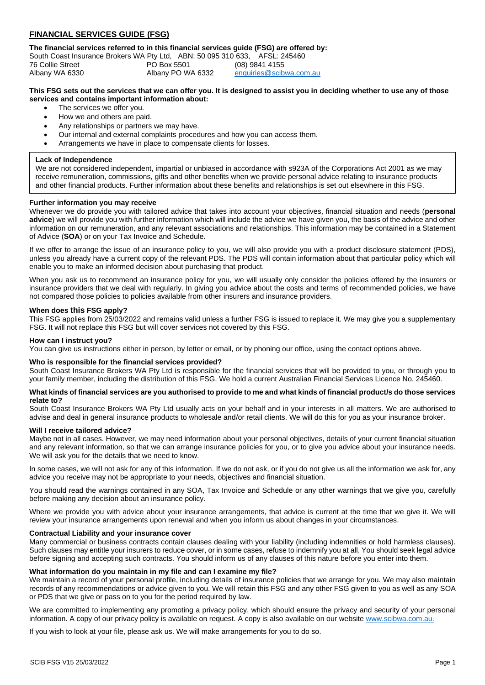# **FINANCIAL SERVICES GUIDE (FSG)**

**The financial services referred to in this financial services guide (FSG) are offered by:**

| South Coast Insurance Brokers WA Pty Ltd, ABN: 50 095 310 633, AFSL: 245460 |                   |                         |
|-----------------------------------------------------------------------------|-------------------|-------------------------|
| 76 Collie Street                                                            | PO Box 5501       | (08) 9841 4155          |
| Albany WA 6330                                                              | Albany PO WA 6332 | enquiries@scibwa.com.au |

# **This FSG sets out the services that we can offer you. It is designed to assist you in deciding whether to use any of those services and contains important information about:**

- The services we offer you.
- How we and others are paid.
- Any relationships or partners we may have.
- Our internal and external complaints procedures and how you can access them.
- Arrangements we have in place to compensate clients for losses.

# **Lack of Independence**

We are not considered independent, impartial or unbiased in accordance with s923A of the Corporations Act 2001 as we may receive remuneration, commissions, gifts and other benefits when we provide personal advice relating to insurance products and other financial products. Further information about these benefits and relationships is set out elsewhere in this FSG.

# **Further information you may receive**

Whenever we do provide you with tailored advice that takes into account your objectives, financial situation and needs (**personal advice**) we will provide you with further information which will include the advice we have given you, the basis of the advice and other information on our remuneration, and any relevant associations and relationships. This information may be contained in a Statement of Advice (**SOA**) or on your Tax Invoice and Schedule.

If we offer to arrange the issue of an insurance policy to you, we will also provide you with a product disclosure statement (PDS), unless you already have a current copy of the relevant PDS. The PDS will contain information about that particular policy which will enable you to make an informed decision about purchasing that product.

When you ask us to recommend an insurance policy for you, we will usually only consider the policies offered by the insurers or insurance providers that we deal with regularly. In giving you advice about the costs and terms of recommended policies, we have not compared those policies to policies available from other insurers and insurance providers.

# **When does this FSG apply?**

This FSG applies from 25/03/2022 and remains valid unless a further FSG is issued to replace it. We may give you a supplementary FSG. It will not replace this FSG but will cover services not covered by this FSG.

#### **How can I instruct you?**

You can give us instructions either in person, by letter or email, or by phoning our office, using the contact options above.

#### **Who is responsible for the financial services provided?**

South Coast Insurance Brokers WA Pty Ltd is responsible for the financial services that will be provided to you, or through you to your family member, including the distribution of this FSG. We hold a current Australian Financial Services Licence No. 245460.

#### **What kinds of financial services are you authorised to provide to me and what kinds of financial product/s do those services relate to?**

South Coast Insurance Brokers WA Pty Ltd usually acts on your behalf and in your interests in all matters. We are authorised to advise and deal in general insurance products to wholesale and/or retail clients. We will do this for you as your insurance broker.

#### **Will I receive tailored advice?**

Maybe not in all cases. However, we may need information about your personal objectives, details of your current financial situation and any relevant information, so that we can arrange insurance policies for you, or to give you advice about your insurance needs. We will ask you for the details that we need to know.

In some cases, we will not ask for any of this information. If we do not ask, or if you do not give us all the information we ask for, any advice you receive may not be appropriate to your needs, objectives and financial situation.

You should read the warnings contained in any SOA, Tax Invoice and Schedule or any other warnings that we give you, carefully before making any decision about an insurance policy.

Where we provide you with advice about your insurance arrangements, that advice is current at the time that we give it. We will review your insurance arrangements upon renewal and when you inform us about changes in your circumstances.

#### **Contractual Liability and your insurance cover**

Many commercial or business contracts contain clauses dealing with your liability (including indemnities or hold harmless clauses). Such clauses may entitle your insurers to reduce cover, or in some cases, refuse to indemnify you at all. You should seek legal advice before signing and accepting such contracts. You should inform us of any clauses of this nature before you enter into them.

#### **What information do you maintain in my file and can I examine my file?**

We maintain a record of your personal profile, including details of insurance policies that we arrange for you. We may also maintain records of any recommendations or advice given to you. We will retain this FSG and any other FSG given to you as well as any SOA or PDS that we give or pass on to you for the period required by law.

We are committed to implementing any promoting a privacy policy, which should ensure the privacy and security of your personal information. A copy of our privacy policy is available on request. A copy is also available on our website [www.scibwa.com.au.](http://www.scibwa.com.au/)

If you wish to look at your file, please ask us. We will make arrangements for you to do so.